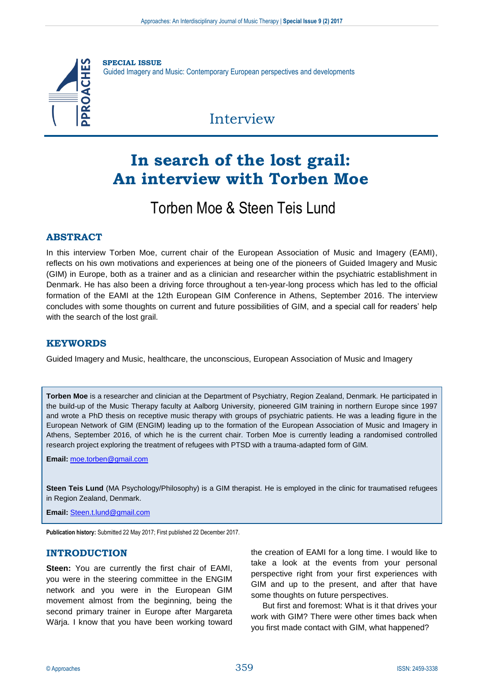

**SPECIAL ISSUE** Guided Imagery and Music: Contemporary European perspectives and developments

## Interview

# **In search of the lost grail: An interview with Torben Moe**

## Torben Moe & Steen Teis Lund

## **ABSTRACT**

In this interview Torben Moe, current chair of the European Association of Music and Imagery (EAMI), reflects on his own motivations and experiences at being one of the pioneers of Guided Imagery and Music (GIM) in Europe, both as a trainer and as a clinician and researcher within the psychiatric establishment in Denmark. He has also been a driving force throughout a ten-year-long process which has led to the official formation of the EAMI at the 12th European GIM Conference in Athens, September 2016. The interview concludes with some thoughts on current and future possibilities of GIM, and a special call for readers' help with the search of the lost grail.

## **KEYWORDS**

Guided Imagery and Music, healthcare, the unconscious, European Association of Music and Imagery

**Torben Moe** is a researcher and clinician at the Department of Psychiatry, Region Zealand, Denmark. He participated in the build-up of the Music Therapy faculty at Aalborg University, pioneered GIM training in northern Europe since 1997 and wrote a PhD thesis on receptive music therapy with groups of psychiatric patients. He was a leading figure in the European Network of GIM (ENGIM) leading up to the formation of the European Association of Music and Imagery in Athens, September 2016, of which he is the current chair. Torben Moe is currently leading a randomised controlled research project exploring the treatment of refugees with PTSD with a trauma-adapted form of GIM.

**Email:** [moe.torben@gmail.com](mailto:moe.torben@gmail.com)

**Steen Teis Lund** (MA Psychology/Philosophy) is a GIM therapist. He is employed in the clinic for traumatised refugees in Region Zealand, Denmark.

**Email:** [Steen.t.lund@gmail.com](mailto:Steen.t.lund@gmail.com)

**Publication history:** Submitted 22 May 2017; First published 22 December 2017.

## **INTRODUCTION**

**Steen:** You are currently the first chair of EAMI, you were in the steering committee in the ENGIM network and you were in the European GIM movement almost from the beginning, being the second primary trainer in Europe after Margareta Wärja. I know that you have been working toward

the creation of EAMI for a long time. I would like to take a look at the events from your personal perspective right from your first experiences with GIM and up to the present, and after that have some thoughts on future perspectives.

But first and foremost: What is it that drives your work with GIM? There were other times back when you first made contact with GIM, what happened?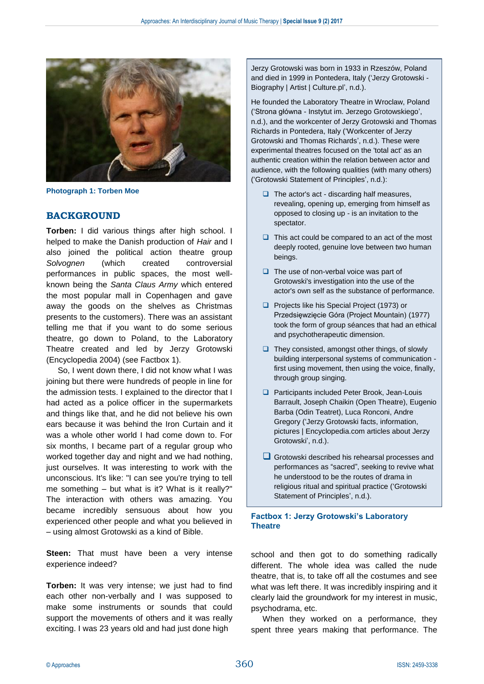

**Photograph 1: Torben Moe**

### **BACKGROUND**

**Torben:** I did various things after high school. I helped to make the Danish production of *Hair* and I also joined the political action theatre group *Solvognen* (which created controversial performances in public spaces, the most wellknown being the *Santa Claus Army* which entered the most popular mall in Copenhagen and gave away the goods on the shelves as Christmas presents to the customers). There was an assistant telling me that if you want to do some serious theatre, go down to Poland, to the Laboratory Theatre created and led by Jerzy Grotowski (Encyclopedia 2004) (see Factbox 1).

So, I went down there, I did not know what I was joining but there were hundreds of people in line for the admission tests. I explained to the director that I had acted as a police officer in the supermarkets and things like that, and he did not believe his own ears because it was behind the Iron Curtain and it was a whole other world I had come down to. For six months, I became part of a regular group who worked together day and night and we had nothing, just ourselves. It was interesting to work with the unconscious. It's like: "I can see you're trying to tell me something – but what is it? What is it really?" The interaction with others was amazing. You became incredibly sensuous about how you experienced other people and what you believed in – using almost Grotowski as a kind of Bible.

**Steen:** That must have been a very intense experience indeed?

**Torben:** It was very intense; we just had to find each other non-verbally and I was supposed to make some instruments or sounds that could support the movements of others and it was really exciting. I was 23 years old and had just done high

Jerzy Grotowski was born in 1933 in Rzeszów, Poland and died in 1999 in Pontedera, Italy ('Jerzy Grotowski - Biography | Artist | Culture.pl', n.d.).

He founded the Laboratory Theatre in Wroclaw, Poland ('Strona główna - Instytut im. Jerzego Grotowskiego', n.d.), and the workcenter of Jerzy Grotowski and Thomas Richards in Pontedera, Italy ('Workcenter of Jerzy Grotowski and Thomas Richards', n.d.). These were experimental theatres focused on the 'total act' as an authentic creation within the relation between actor and audience, with the following qualities (with many others) ('Grotowski Statement of Principles', n.d.):

- $\Box$  The actor's act discarding half measures, revealing, opening up, emerging from himself as opposed to closing up - is an invitation to the spectator.
- $\Box$  This act could be compared to an act of the most deeply rooted, genuine love between two human beings.
- $\Box$  The use of non-verbal voice was part of Grotowski's investigation into the use of the actor's own self as the substance of performance.
- **Projects like his Special Project (1973) or** Przedsięwzięcie Góra (Project Mountain) (1977) took the form of group séances that had an ethical and psychotherapeutic dimension.
- $\Box$  They consisted, amongst other things, of slowly building interpersonal systems of communication first using movement, then using the voice, finally, through group singing.
- □ Participants included Peter Brook, Jean-Louis Barrault, Joseph Chaikin (Open Theatre), Eugenio Barba (Odin Teatret), Luca Ronconi, Andre Gregory ('Jerzy Grotowski facts, information, pictures | Encyclopedia.com articles about Jerzy Grotowski', n.d.).
- Grotowski described his rehearsal processes and performances as "sacred", seeking to revive what he understood to be the routes of drama in religious ritual and spiritual practice ('Grotowski Statement of Principles', n.d.).

#### **Factbox 1: Jerzy Grotowski's Laboratory Theatre**

school and then got to do something radically different. The whole idea was called the nude theatre, that is, to take off all the costumes and see what was left there. It was incredibly inspiring and it clearly laid the groundwork for my interest in music, psychodrama, etc.

When they worked on a performance, they spent three years making that performance. The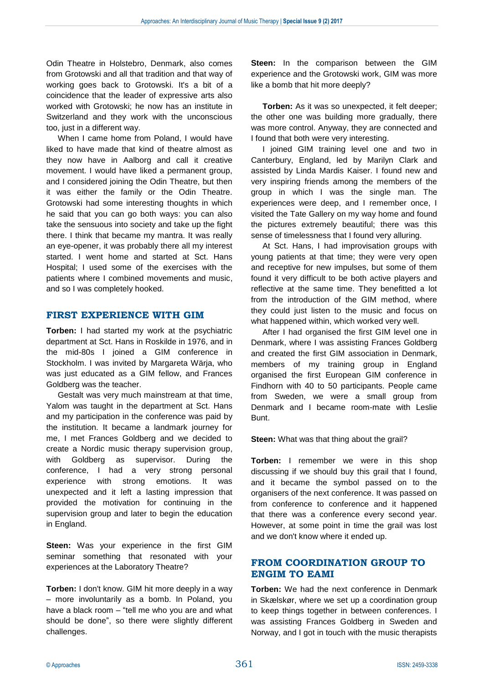Odin Theatre in Holstebro, Denmark, also comes from Grotowski and all that tradition and that way of working goes back to Grotowski. It's a bit of a coincidence that the leader of expressive arts also worked with Grotowski; he now has an institute in Switzerland and they work with the unconscious too, just in a different way.

When I came home from Poland, I would have liked to have made that kind of theatre almost as they now have in Aalborg and call it creative movement. I would have liked a permanent group, and I considered joining the Odin Theatre, but then it was either the family or the Odin Theatre. Grotowski had some interesting thoughts in which he said that you can go both ways: you can also take the sensuous into society and take up the fight there. I think that became my mantra. It was really an eye-opener, it was probably there all my interest started. I went home and started at Sct. Hans Hospital; I used some of the exercises with the patients where I combined movements and music, and so I was completely hooked.

#### **FIRST EXPERIENCE WITH GIM**

**Torben:** I had started my work at the psychiatric department at Sct. Hans in Roskilde in 1976, and in the mid-80s I joined a GIM conference in Stockholm. I was invited by Margareta Wärja, who was just educated as a GIM fellow, and Frances Goldberg was the teacher.

Gestalt was very much mainstream at that time, Yalom was taught in the department at Sct. Hans and my participation in the conference was paid by the institution. It became a landmark journey for me, I met Frances Goldberg and we decided to create a Nordic music therapy supervision group, with Goldberg as supervisor. During the conference, I had a very strong personal experience with strong emotions. It was unexpected and it left a lasting impression that provided the motivation for continuing in the supervision group and later to begin the education in England.

**Steen:** Was your experience in the first GIM seminar something that resonated with your experiences at the Laboratory Theatre?

**Torben:** I don't know. GIM hit more deeply in a way – more involuntarily as a bomb. In Poland, you have a black room – "tell me who you are and what should be done", so there were slightly different challenges.

**Steen:** In the comparison between the GIM experience and the Grotowski work, GIM was more like a bomb that hit more deeply?

**Torben:** As it was so unexpected, it felt deeper; the other one was building more gradually, there was more control. Anyway, they are connected and I found that both were very interesting.

I joined GIM training level one and two in Canterbury, England, led by Marilyn Clark and assisted by Linda Mardis Kaiser. I found new and very inspiring friends among the members of the group in which I was the single man. The experiences were deep, and I remember once, I visited the Tate Gallery on my way home and found the pictures extremely beautiful; there was this sense of timelessness that I found very alluring.

At Sct. Hans, I had improvisation groups with young patients at that time; they were very open and receptive for new impulses, but some of them found it very difficult to be both active players and reflective at the same time. They benefitted a lot from the introduction of the GIM method, where they could just listen to the music and focus on what happened within, which worked very well.

After I had organised the first GIM level one in Denmark, where I was assisting Frances Goldberg and created the first GIM association in Denmark, members of my training group in England organised the first European GIM conference in Findhorn with 40 to 50 participants. People came from Sweden, we were a small group from Denmark and I became room-mate with Leslie Bunt.

**Steen:** What was that thing about the grail?

**Torben:** I remember we were in this shop discussing if we should buy this grail that I found, and it became the symbol passed on to the organisers of the next conference. It was passed on from conference to conference and it happened that there was a conference every second year. However, at some point in time the grail was lost and we don't know where it ended up.

## **FROM COORDINATION GROUP TO ENGIM TO EAMI**

**Torben:** We had the next conference in Denmark in Skælskør, where we set up a coordination group to keep things together in between conferences. I was assisting Frances Goldberg in Sweden and Norway, and I got in touch with the music therapists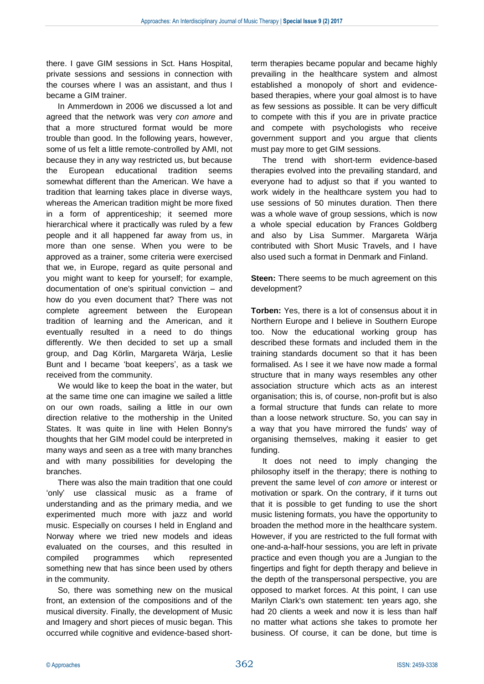there. I gave GIM sessions in Sct. Hans Hospital, private sessions and sessions in connection with the courses where I was an assistant, and thus I became a GIM trainer.

In Ammerdown in 2006 we discussed a lot and agreed that the network was very *con amore* and that a more structured format would be more trouble than good. In the following years, however, some of us felt a little remote-controlled by AMI, not because they in any way restricted us, but because the European educational tradition seems somewhat different than the American. We have a tradition that learning takes place in diverse ways, whereas the American tradition might be more fixed in a form of apprenticeship; it seemed more hierarchical where it practically was ruled by a few people and it all happened far away from us, in more than one sense. When you were to be approved as a trainer, some criteria were exercised that we, in Europe, regard as quite personal and you might want to keep for yourself; for example, documentation of one's spiritual conviction – and how do you even document that? There was not complete agreement between the European tradition of learning and the American, and it eventually resulted in a need to do things differently. We then decided to set up a small group, and Dag Körlin, Margareta Wärja, Leslie Bunt and I became 'boat keepers', as a task we received from the community.

We would like to keep the boat in the water, but at the same time one can imagine we sailed a little on our own roads, sailing a little in our own direction relative to the mothership in the United States. It was quite in line with Helen Bonny's thoughts that her GIM model could be interpreted in many ways and seen as a tree with many branches and with many possibilities for developing the branches.

There was also the main tradition that one could 'only' use classical music as a frame of understanding and as the primary media, and we experimented much more with jazz and world music. Especially on courses I held in England and Norway where we tried new models and ideas evaluated on the courses, and this resulted in compiled programmes which represented something new that has since been used by others in the community.

So, there was something new on the musical front, an extension of the compositions and of the musical diversity. Finally, the development of Music and Imagery and short pieces of music began. This occurred while cognitive and evidence-based shortterm therapies became popular and became highly prevailing in the healthcare system and almost established a monopoly of short and evidencebased therapies, where your goal almost is to have as few sessions as possible. It can be very difficult to compete with this if you are in private practice and compete with psychologists who receive government support and you argue that clients must pay more to get GIM sessions.

The trend with short-term evidence-based therapies evolved into the prevailing standard, and everyone had to adjust so that if you wanted to work widely in the healthcare system you had to use sessions of 50 minutes duration. Then there was a whole wave of group sessions, which is now a whole special education by Frances Goldberg and also by Lisa Summer. Margareta Wärja contributed with Short Music Travels, and I have also used such a format in Denmark and Finland.

**Steen:** There seems to be much agreement on this development?

**Torben:** Yes, there is a lot of consensus about it in Northern Europe and I believe in Southern Europe too. Now the educational working group has described these formats and included them in the training standards document so that it has been formalised. As I see it we have now made a formal structure that in many ways resembles any other association structure which acts as an interest organisation; this is, of course, non-profit but is also a formal structure that funds can relate to more than a loose network structure. So, you can say in a way that you have mirrored the funds' way of organising themselves, making it easier to get funding.

It does not need to imply changing the philosophy itself in the therapy; there is nothing to prevent the same level of *con amore* or interest or motivation or spark. On the contrary, if it turns out that it is possible to get funding to use the short music listening formats, you have the opportunity to broaden the method more in the healthcare system. However, if you are restricted to the full format with one-and-a-half-hour sessions, you are left in private practice and even though you are a Jungian to the fingertips and fight for depth therapy and believe in the depth of the transpersonal perspective, you are opposed to market forces. At this point, I can use Marilyn Clark's own statement: ten years ago, she had 20 clients a week and now it is less than half no matter what actions she takes to promote her business. Of course, it can be done, but time is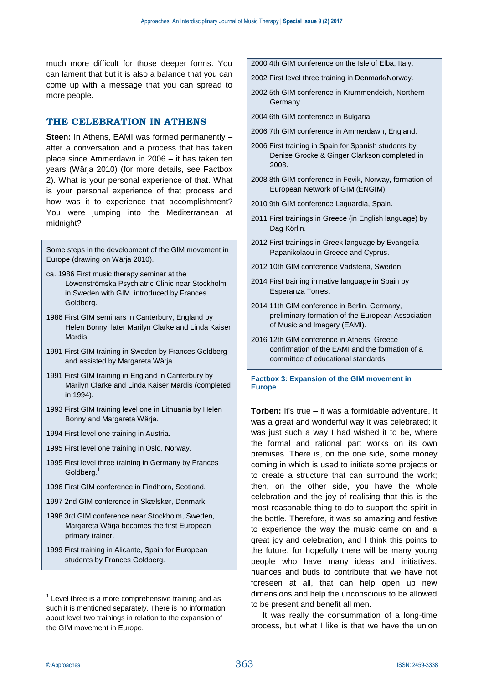much more difficult for those deeper forms. You can lament that but it is also a balance that you can come up with a message that you can spread to more people.

## **THE CELEBRATION IN ATHENS**

**Steen:** In Athens, EAMI was formed permanently – after a conversation and a process that has taken place since Ammerdawn in 2006 – it has taken ten years (Wärja 2010) (for more details, see Factbox 2). What is your personal experience of that. What is your personal experience of that process and how was it to experience that accomplishment? You were jumping into the Mediterranean at midnight?

Some steps in the development of the GIM movement in Europe (drawing on Wärja 2010).

- ca. 1986 First music therapy seminar at the Löwenströmska Psychiatric Clinic near Stockholm in Sweden with GIM, introduced by Frances Goldberg.
- 1986 First GIM seminars in Canterbury, England by Helen Bonny, later Marilyn Clarke and Linda Kaiser **Mardis**
- 1991 First GIM training in Sweden by Frances Goldberg and assisted by Margareta Wärja.
- 1991 First GIM training in England in Canterbury by Marilyn Clarke and Linda Kaiser Mardis (completed in 1994).
- 1993 First GIM training level one in Lithuania by Helen Bonny and Margareta Wärja.
- 1994 First level one training in Austria.
- 1995 First level one training in Oslo, Norway.
- 1995 First level three training in Germany by Frances Goldberg.<sup>1</sup>
- 1996 First GIM conference in Findhorn, Scotland.
- 1997 2nd GIM conference in Skælskør, Denmark.
- 1998 3rd GIM conference near Stockholm, Sweden, Margareta Wärja becomes the first European primary trainer.
- 1999 First training in Alicante, Spain for European students by Frances Goldberg.
- 2000 4th GIM conference on the Isle of Elba, Italy.
- 2002 First level three training in Denmark/Norway.
- 2002 5th GIM conference in Krummendeich, Northern Germany.
- 2004 6th GIM conference in Bulgaria.
- 2006 7th GIM conference in Ammerdawn, England.
- 2006 First training in Spain for Spanish students by Denise Grocke & Ginger Clarkson completed in 2008.
- 2008 8th GIM conference in Fevik, Norway, formation of European Network of GIM (ENGIM).
- 2010 9th GIM conference Laguardia, Spain.
- 2011 First trainings in Greece (in English language) by Dag Körlin.
- 2012 First trainings in Greek language by Evangelia Papanikolaou in Greece and Cyprus.
- 2012 10th GIM conference Vadstena, Sweden.
- 2014 First training in native language in Spain by Esperanza Torres.
- 2014 11th GIM conference in Berlin, Germany, preliminary formation of the European Association of Music and Imagery (EAMI).
- 2016 12th GIM conference in Athens, Greece confirmation of the EAMI and the formation of a committee of educational standards.

#### **Factbox 3: Expansion of the GIM movement in Europe**

**Torben:** It's true – it was a formidable adventure. It was a great and wonderful way it was celebrated; it was just such a way I had wished it to be, where the formal and rational part works on its own premises. There is, on the one side, some money coming in which is used to initiate some projects or to create a structure that can surround the work; then, on the other side, you have the whole celebration and the joy of realising that this is the most reasonable thing to do to support the spirit in the bottle. Therefore, it was so amazing and festive to experience the way the music came on and a great joy and celebration, and I think this points to the future, for hopefully there will be many young people who have many ideas and initiatives, nuances and buds to contribute that we have not foreseen at all, that can help open up new dimensions and help the unconscious to be allowed to be present and benefit all men.

It was really the consummation of a long-time process, but what I like is that we have the union

1

 $1$  Level three is a more comprehensive training and as such it is mentioned separately. There is no information about level two trainings in relation to the expansion of the GIM movement in Europe.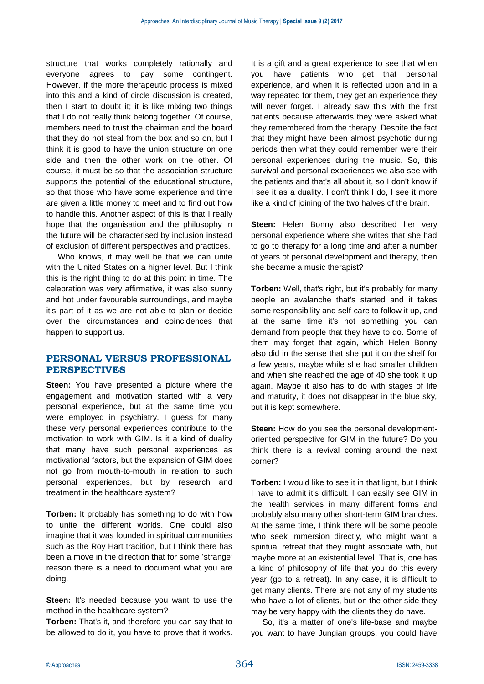structure that works completely rationally and everyone agrees to pay some contingent. However, if the more therapeutic process is mixed into this and a kind of circle discussion is created, then I start to doubt it; it is like mixing two things that I do not really think belong together. Of course, members need to trust the chairman and the board that they do not steal from the box and so on, but I think it is good to have the union structure on one side and then the other work on the other. Of course, it must be so that the association structure supports the potential of the educational structure, so that those who have some experience and time are given a little money to meet and to find out how to handle this. Another aspect of this is that I really hope that the organisation and the philosophy in the future will be characterised by inclusion instead of exclusion of different perspectives and practices.

Who knows, it may well be that we can unite with the United States on a higher level. But I think this is the right thing to do at this point in time. The celebration was very affirmative, it was also sunny and hot under favourable surroundings, and maybe it's part of it as we are not able to plan or decide over the circumstances and coincidences that happen to support us.

## **PERSONAL VERSUS PROFESSIONAL PERSPECTIVES**

**Steen:** You have presented a picture where the engagement and motivation started with a very personal experience, but at the same time you were employed in psychiatry. I guess for many these very personal experiences contribute to the motivation to work with GIM. Is it a kind of duality that many have such personal experiences as motivational factors, but the expansion of GIM does not go from mouth-to-mouth in relation to such personal experiences, but by research and treatment in the healthcare system?

**Torben:** It probably has something to do with how to unite the different worlds. One could also imagine that it was founded in spiritual communities such as the Roy Hart tradition, but I think there has been a move in the direction that for some 'strange' reason there is a need to document what you are doing.

**Steen:** It's needed because you want to use the method in the healthcare system?

**Torben:** That's it, and therefore you can say that to be allowed to do it, you have to prove that it works.

It is a gift and a great experience to see that when you have patients who get that personal experience, and when it is reflected upon and in a way repeated for them, they get an experience they will never forget. I already saw this with the first patients because afterwards they were asked what they remembered from the therapy. Despite the fact that they might have been almost psychotic during periods then what they could remember were their personal experiences during the music. So, this survival and personal experiences we also see with the patients and that's all about it, so I don't know if I see it as a duality. I don't think I do, I see it more like a kind of joining of the two halves of the brain.

**Steen:** Helen Bonny also described her very personal experience where she writes that she had to go to therapy for a long time and after a number of years of personal development and therapy, then she became a music therapist?

**Torben:** Well, that's right, but it's probably for many people an avalanche that's started and it takes some responsibility and self-care to follow it up, and at the same time it's not something you can demand from people that they have to do. Some of them may forget that again, which Helen Bonny also did in the sense that she put it on the shelf for a few years, maybe while she had smaller children and when she reached the age of 40 she took it up again. Maybe it also has to do with stages of life and maturity, it does not disappear in the blue sky, but it is kept somewhere.

**Steen:** How do you see the personal developmentoriented perspective for GIM in the future? Do you think there is a revival coming around the next corner?

**Torben:** I would like to see it in that light, but I think I have to admit it's difficult. I can easily see GIM in the health services in many different forms and probably also many other short-term GIM branches. At the same time, I think there will be some people who seek immersion directly, who might want a spiritual retreat that they might associate with, but maybe more at an existential level. That is, one has a kind of philosophy of life that you do this every year (go to a retreat). In any case, it is difficult to get many clients. There are not any of my students who have a lot of clients, but on the other side they may be very happy with the clients they do have.

So, it's a matter of one's life-base and maybe you want to have Jungian groups, you could have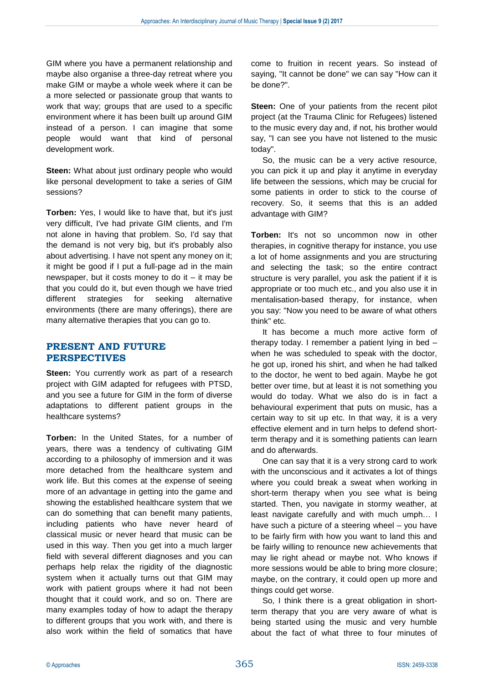GIM where you have a permanent relationship and maybe also organise a three-day retreat where you make GIM or maybe a whole week where it can be a more selected or passionate group that wants to work that way; groups that are used to a specific environment where it has been built up around GIM instead of a person. I can imagine that some people would want that kind of personal development work.

**Steen:** What about just ordinary people who would like personal development to take a series of GIM sessions?

**Torben:** Yes, I would like to have that, but it's just very difficult, I've had private GIM clients, and I'm not alone in having that problem. So, I'd say that the demand is not very big, but it's probably also about advertising. I have not spent any money on it; it might be good if I put a full-page ad in the main newspaper, but it costs money to do it – it may be that you could do it, but even though we have tried different strategies for seeking alternative environments (there are many offerings), there are many alternative therapies that you can go to.

## **PRESENT AND FUTURE PERSPECTIVES**

**Steen:** You currently work as part of a research project with GIM adapted for refugees with PTSD, and you see a future for GIM in the form of diverse adaptations to different patient groups in the healthcare systems?

**Torben:** In the United States, for a number of years, there was a tendency of cultivating GIM according to a philosophy of immersion and it was more detached from the healthcare system and work life. But this comes at the expense of seeing more of an advantage in getting into the game and showing the established healthcare system that we can do something that can benefit many patients, including patients who have never heard of classical music or never heard that music can be used in this way. Then you get into a much larger field with several different diagnoses and you can perhaps help relax the rigidity of the diagnostic system when it actually turns out that GIM may work with patient groups where it had not been thought that it could work, and so on. There are many examples today of how to adapt the therapy to different groups that you work with, and there is also work within the field of somatics that have

come to fruition in recent years. So instead of saying, "It cannot be done" we can say "How can it be done?".

**Steen:** One of your patients from the recent pilot project (at the Trauma Clinic for Refugees) listened to the music every day and, if not, his brother would say, "I can see you have not listened to the music today".

So, the music can be a very active resource, you can pick it up and play it anytime in everyday life between the sessions, which may be crucial for some patients in order to stick to the course of recovery. So, it seems that this is an added advantage with GIM?

**Torben:** It's not so uncommon now in other therapies, in cognitive therapy for instance, you use a lot of home assignments and you are structuring and selecting the task; so the entire contract structure is very parallel, you ask the patient if it is appropriate or too much etc., and you also use it in mentalisation-based therapy, for instance, when you say: "Now you need to be aware of what others think" etc.

It has become a much more active form of therapy today. I remember a patient lying in bed – when he was scheduled to speak with the doctor, he got up, ironed his shirt, and when he had talked to the doctor, he went to bed again. Maybe he got better over time, but at least it is not something you would do today. What we also do is in fact a behavioural experiment that puts on music, has a certain way to sit up etc. In that way, it is a very effective element and in turn helps to defend shortterm therapy and it is something patients can learn and do afterwards.

One can say that it is a very strong card to work with the unconscious and it activates a lot of things where you could break a sweat when working in short-term therapy when you see what is being started. Then, you navigate in stormy weather, at least navigate carefully and with much umph… I have such a picture of a steering wheel – you have to be fairly firm with how you want to land this and be fairly willing to renounce new achievements that may lie right ahead or maybe not. Who knows if more sessions would be able to bring more closure; maybe, on the contrary, it could open up more and things could get worse.

So, I think there is a great obligation in shortterm therapy that you are very aware of what is being started using the music and very humble about the fact of what three to four minutes of